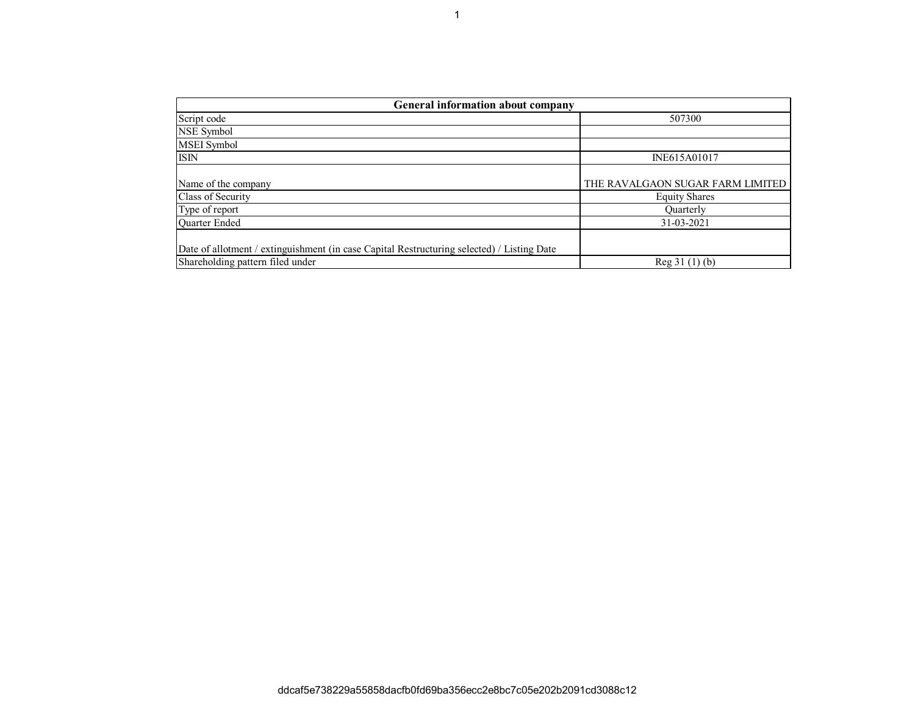| General information about company                                                          |                                  |  |  |  |  |  |  |  |  |
|--------------------------------------------------------------------------------------------|----------------------------------|--|--|--|--|--|--|--|--|
| Script code                                                                                | 507300                           |  |  |  |  |  |  |  |  |
| NSE Symbol                                                                                 |                                  |  |  |  |  |  |  |  |  |
| MSEI Symbol                                                                                |                                  |  |  |  |  |  |  |  |  |
| <b>ISIN</b>                                                                                | INE615A01017                     |  |  |  |  |  |  |  |  |
|                                                                                            |                                  |  |  |  |  |  |  |  |  |
| Name of the company                                                                        | THE RAVALGAON SUGAR FARM LIMITED |  |  |  |  |  |  |  |  |
| Class of Security                                                                          | <b>Equity Shares</b>             |  |  |  |  |  |  |  |  |
| Type of report                                                                             | <b>Ouarterly</b>                 |  |  |  |  |  |  |  |  |
| <b>Ouarter Ended</b>                                                                       | 31-03-2021                       |  |  |  |  |  |  |  |  |
|                                                                                            |                                  |  |  |  |  |  |  |  |  |
| Date of allotment / extinguishment (in case Capital Restructuring selected) / Listing Date |                                  |  |  |  |  |  |  |  |  |
| Shareholding pattern filed under                                                           | Reg 31 (1) (b)                   |  |  |  |  |  |  |  |  |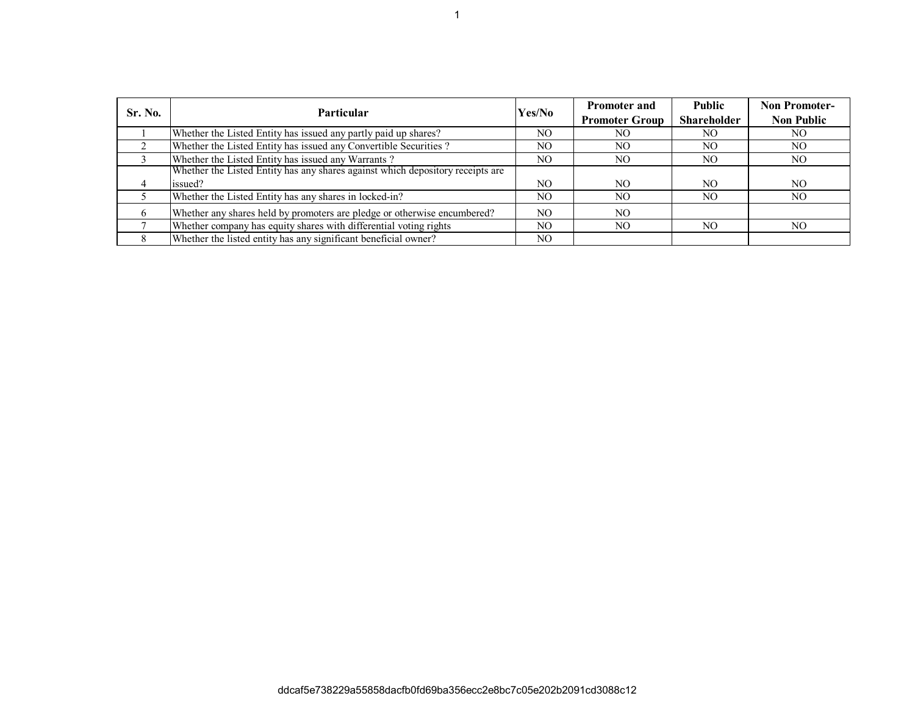| Sr. No. | <b>Particular</b>                                                              | Yes/No | <b>Promoter and</b><br><b>Promoter Group</b> | <b>Public</b><br><b>Shareholder</b> | <b>Non Promoter-</b><br><b>Non Public</b> |
|---------|--------------------------------------------------------------------------------|--------|----------------------------------------------|-------------------------------------|-------------------------------------------|
|         | Whether the Listed Entity has issued any partly paid up shares?                | NO.    | NO.                                          | NO.                                 | NO.                                       |
|         | Whether the Listed Entity has issued any Convertible Securities?               | NO.    | NO.                                          | NO.                                 | NO.                                       |
|         | Whether the Listed Entity has issued any Warrants?                             | NO.    | NO.                                          | NO.                                 | NO.                                       |
|         | Whether the Listed Entity has any shares against which depository receipts are |        |                                              |                                     |                                           |
|         | issued?                                                                        | NO.    | NO.                                          | NO.                                 | NO.                                       |
|         | Whether the Listed Entity has any shares in locked-in?                         | NO.    | NO.                                          | NO.                                 | NO.                                       |
| 6       | Whether any shares held by promoters are pledge or otherwise encumbered?       | NO.    | NO.                                          |                                     |                                           |
|         | Whether company has equity shares with differential voting rights              | NO.    | NO.                                          | NO.                                 | NO.                                       |
|         | Whether the listed entity has any significant beneficial owner?                | NO.    |                                              |                                     |                                           |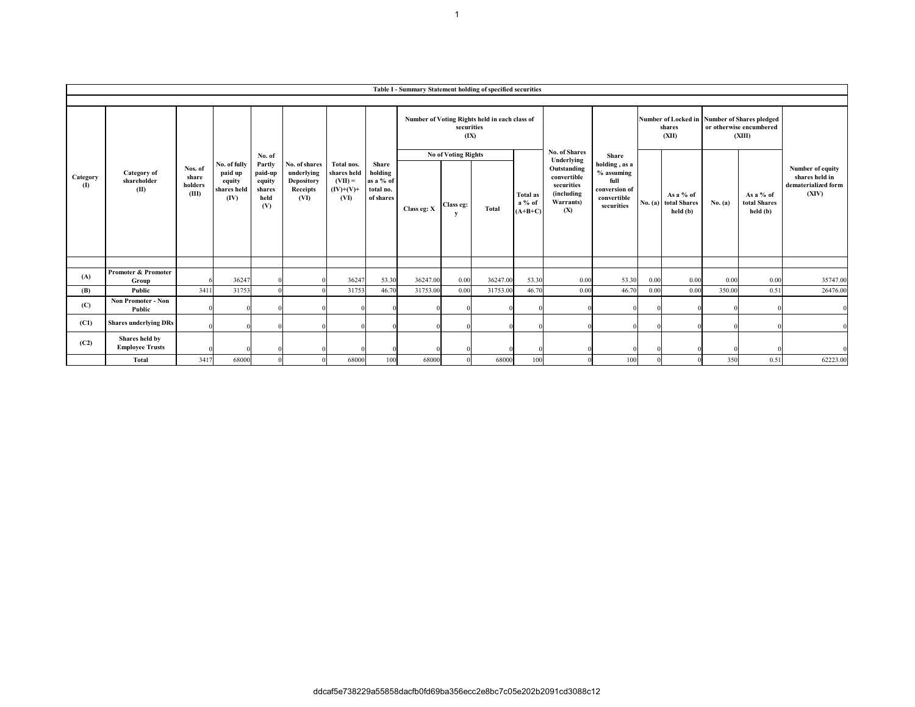|                          | Table I - Summary Statement holding of specified securities |                                      |                                                          |                                                                |                                                                      |                                                               |                                                         |             |                                              |                                               |                                          |                                                                                          |                                                                                            |                 |                                               |                                                                                   |                                         |                                                                    |
|--------------------------|-------------------------------------------------------------|--------------------------------------|----------------------------------------------------------|----------------------------------------------------------------|----------------------------------------------------------------------|---------------------------------------------------------------|---------------------------------------------------------|-------------|----------------------------------------------|-----------------------------------------------|------------------------------------------|------------------------------------------------------------------------------------------|--------------------------------------------------------------------------------------------|-----------------|-----------------------------------------------|-----------------------------------------------------------------------------------|-----------------------------------------|--------------------------------------------------------------------|
|                          |                                                             |                                      |                                                          |                                                                |                                                                      |                                                               |                                                         |             |                                              |                                               |                                          |                                                                                          |                                                                                            |                 |                                               |                                                                                   |                                         |                                                                    |
| Category<br>$\mathbf{I}$ | Category of<br>shareholder<br>(II)                          | Nos. of<br>share<br>holders<br>(III) | No. of fully<br>paid up<br>equity<br>shares held<br>(IV) |                                                                |                                                                      |                                                               | Share<br>holding<br>as a % of<br>total no.<br>of shares |             | securities<br>(IX)                           | Number of Voting Rights held in each class of |                                          | No. of Shares                                                                            | Share<br>holding, as a<br>% assuming<br>full<br>conversion of<br>convertible<br>securities | shares<br>(XII) |                                               | Number of Locked in Number of Shares pledged<br>or otherwise encumbered<br>(XIII) |                                         |                                                                    |
|                          |                                                             |                                      |                                                          | No. of<br>Partly<br>paid-up<br>equity<br>shares<br>held<br>(V) | No. of shares<br>underlying<br><b>Depository</b><br>Receipts<br>(VI) | Total nos.<br>shares held<br>$(VII) =$<br>$(IV)+(V)+$<br>(VI) |                                                         | Class eg: X | <b>No of Voting Rights</b><br>Class eg:<br>y | <b>Total</b>                                  | <b>Total as</b><br>$a\%$ of<br>$(A+B+C)$ | Underlying<br>Outstanding<br>convertible<br>securities<br>(including<br>Warrants)<br>(X) |                                                                                            |                 | As a % of<br>No. (a) total Shares<br>held (b) | No. (a)                                                                           | As a $%$ of<br>total Shares<br>held (b) | Number of equity<br>shares held in<br>dematerialized form<br>(XIV) |
|                          |                                                             |                                      |                                                          |                                                                |                                                                      |                                                               |                                                         |             |                                              |                                               |                                          |                                                                                          |                                                                                            |                 |                                               |                                                                                   |                                         |                                                                    |
| (A)                      | Promoter & Promoter<br>Group                                |                                      | 36247                                                    |                                                                |                                                                      | 36247                                                         | 53.30                                                   | 36247.00    | 0.00                                         | 36247.00                                      | 53.30                                    | 0.00                                                                                     | 53.30                                                                                      | 0.00            | 0.00                                          | 0.00                                                                              | 0.00                                    | 35747.00                                                           |
| (B)                      | Public                                                      | 3411                                 | 31753                                                    |                                                                |                                                                      | 31753                                                         | 46.70                                                   | 31753.00    | 0.00                                         | 31753.00                                      | 46.70                                    | 0.00                                                                                     | 46.70                                                                                      | 0.00            | 0.00                                          | 350.00                                                                            | 0.51                                    | 26476.00                                                           |
| (C)                      | <b>Non Promoter - Non</b><br>Public                         |                                      |                                                          |                                                                |                                                                      |                                                               |                                                         |             |                                              |                                               |                                          |                                                                                          |                                                                                            |                 |                                               |                                                                                   |                                         |                                                                    |
| (C1)                     | <b>Shares underlying DRs</b>                                |                                      |                                                          |                                                                |                                                                      |                                                               |                                                         |             |                                              |                                               |                                          |                                                                                          |                                                                                            |                 |                                               |                                                                                   |                                         |                                                                    |
| (C2)                     | Shares held by<br><b>Employee Trusts</b>                    |                                      |                                                          |                                                                |                                                                      |                                                               |                                                         |             |                                              |                                               |                                          |                                                                                          |                                                                                            |                 |                                               |                                                                                   |                                         |                                                                    |
|                          | Total                                                       | 3417                                 | 68000                                                    |                                                                | $\Omega$                                                             | 68000                                                         | 100                                                     | 68000       |                                              | 68000                                         | 100                                      |                                                                                          | 100                                                                                        |                 | $\overline{0}$                                | 350                                                                               | 0.51                                    | 62223.00                                                           |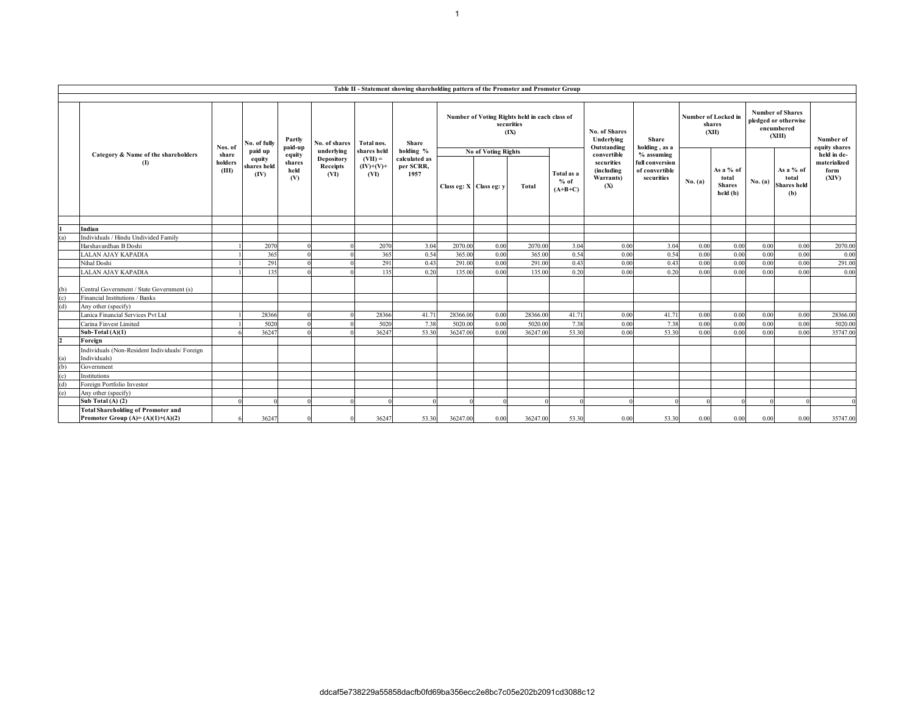|            | Table II - Statement showing shareholding pattern of the Promoter and Promoter Group |                  |                               |                       |                                |                                  |                                    |                            |      |                                                                     |                                   |                                              |                                                 |                                        |                                                 |                                                                         |                                                 |                               |
|------------|--------------------------------------------------------------------------------------|------------------|-------------------------------|-----------------------|--------------------------------|----------------------------------|------------------------------------|----------------------------|------|---------------------------------------------------------------------|-----------------------------------|----------------------------------------------|-------------------------------------------------|----------------------------------------|-------------------------------------------------|-------------------------------------------------------------------------|-------------------------------------------------|-------------------------------|
|            |                                                                                      |                  |                               |                       |                                |                                  |                                    |                            |      |                                                                     |                                   |                                              |                                                 |                                        |                                                 |                                                                         |                                                 |                               |
|            |                                                                                      | Nos. of          | No. of fully                  | Partly<br>paid-up     | No. of shares                  | Total nos.                       | <b>Share</b>                       |                            |      | Number of Voting Rights held in each class of<br>securities<br>(IX) |                                   | No. of Shares<br>Underlying<br>Outstanding   | <b>Share</b><br>holding, as a                   | Number of Locked in<br>shares<br>(XII) |                                                 | <b>Number of Shares</b><br>pledged or otherwise<br>encumbered<br>(XIII) |                                                 | Number of<br>equity shares    |
|            | Category & Name of the shareholders                                                  | share            | paid up                       | equity                | underlying                     | shares held                      | holding %                          | <b>No of Voting Rights</b> |      |                                                                     |                                   | convertible                                  | $%$ assuming                                    |                                        |                                                 |                                                                         |                                                 | held in de-                   |
|            | (I)                                                                                  | holders<br>(III) | equity<br>shares held<br>(IV) | shares<br>held<br>(V) | Depository<br>Receipts<br>(VI) | $(VII) =$<br>$(IV)+(V)+$<br>(VI) | calculated as<br>per SCRR,<br>1957 | Class eg: X Class eg: y    |      | Total                                                               | Total as a<br>$%$ of<br>$(A+B+C)$ | securities<br>(including<br>Warrants)<br>(X) | full conversion<br>of convertible<br>securities | No. (a)                                | As a % of<br>total<br><b>Shares</b><br>held (b) | No. (a)                                                                 | As a % of<br>total<br><b>Shares</b> held<br>(b) | materialized<br>form<br>(XIV) |
|            |                                                                                      |                  |                               |                       |                                |                                  |                                    |                            |      |                                                                     |                                   |                                              |                                                 |                                        |                                                 |                                                                         |                                                 |                               |
|            | Indian                                                                               |                  |                               |                       |                                |                                  |                                    |                            |      |                                                                     |                                   |                                              |                                                 |                                        |                                                 |                                                                         |                                                 |                               |
|            | Individuals / Hindu Undivided Family                                                 |                  |                               |                       |                                |                                  |                                    |                            |      |                                                                     |                                   |                                              |                                                 |                                        |                                                 |                                                                         |                                                 |                               |
|            | Harshavardhan B Doshi                                                                |                  | 2070                          |                       |                                | 2070                             | 3.04                               | 2070.00                    | 0.00 | 2070.00                                                             | 3.04                              | 0.00                                         | 3.04                                            | 0.00                                   | 0.00                                            | 0.00                                                                    | 0.00                                            | 2070.00                       |
|            | LALAN AJAY KAPADIA                                                                   |                  | 365                           |                       |                                | 365                              | 0.54                               | 365.00                     | 0.00 | 365.00                                                              | 0.54                              | 0.00                                         | 0.54                                            | 0.00                                   | 0.00                                            | 0.00                                                                    | 0.00                                            | 0.00                          |
|            | Nihal Doshi                                                                          |                  | 291                           |                       |                                | 291                              | 0.43                               | 291.00                     | 0.00 | 291.00                                                              | 0.43                              | 0.00                                         | 0.43                                            | 0.00                                   | 0.00                                            | 0.00                                                                    | 0.00                                            | 291.00                        |
|            | LALAN AJAY KAPADIA                                                                   |                  | 135                           |                       |                                | 135                              | 0.20                               | 135.00                     | 0.00 | 135.00                                                              | 0.20                              | 0.00                                         | 0.20                                            | 0.00                                   | 0.00                                            | 0.00                                                                    | 0.00                                            | 0.00                          |
| (b)<br>(c) | Central Government / State Government (s)<br>Financial Institutions / Banks          |                  |                               |                       |                                |                                  |                                    |                            |      |                                                                     |                                   |                                              |                                                 |                                        |                                                 |                                                                         |                                                 |                               |
| (d)        | Any other (specify)                                                                  |                  |                               |                       |                                |                                  |                                    |                            |      |                                                                     |                                   |                                              |                                                 |                                        |                                                 |                                                                         |                                                 |                               |
|            | Lanica Financial Services Pvt Ltd                                                    |                  | 28366                         |                       |                                | 28366                            | 41.71                              | 28366.00                   | 0.00 | 28366.00                                                            | 41.71                             | 0.00                                         | 41.71                                           | 0.00                                   | 0.00                                            | 0.00                                                                    | 0.00                                            | 28366.00                      |
|            | Carina Finvest Limited                                                               |                  | 5020                          |                       |                                | 5020                             | 7.38                               | 5020.00                    | 0.00 | 5020.00                                                             | 7.38                              | 0.00                                         | 7.38                                            | 0.00                                   | 0.00                                            | 0.00                                                                    | 0.00                                            | 5020.00                       |
|            | Sub-Total $(A)(1)$                                                                   |                  | 36247                         |                       |                                | 3624                             | 53.30                              | 36247.00                   | 0.00 | 36247.00                                                            | 53.30                             | 0.00                                         | 53.30                                           | 0.00                                   | 0.00                                            | 0.00                                                                    | 0.00                                            | 35747.00                      |
|            | Foreign                                                                              |                  |                               |                       |                                |                                  |                                    |                            |      |                                                                     |                                   |                                              |                                                 |                                        |                                                 |                                                                         |                                                 |                               |
| (a)        | Individuals (Non-Resident Individuals/Foreign<br>Individuals)                        |                  |                               |                       |                                |                                  |                                    |                            |      |                                                                     |                                   |                                              |                                                 |                                        |                                                 |                                                                         |                                                 |                               |
| (b)        | Government                                                                           |                  |                               |                       |                                |                                  |                                    |                            |      |                                                                     |                                   |                                              |                                                 |                                        |                                                 |                                                                         |                                                 |                               |
| (c)        | Institutions                                                                         |                  |                               |                       |                                |                                  |                                    |                            |      |                                                                     |                                   |                                              |                                                 |                                        |                                                 |                                                                         |                                                 |                               |
| (d)        | Foreign Portfolio Investor                                                           |                  |                               |                       |                                |                                  |                                    |                            |      |                                                                     |                                   |                                              |                                                 |                                        |                                                 |                                                                         |                                                 |                               |
| (e)        | Any other (specify)                                                                  |                  |                               |                       |                                |                                  |                                    |                            |      |                                                                     |                                   |                                              |                                                 |                                        |                                                 |                                                                         |                                                 |                               |
|            | Sub Total $(A)$ $(2)$                                                                |                  |                               |                       |                                |                                  |                                    |                            |      |                                                                     |                                   |                                              |                                                 |                                        |                                                 |                                                                         |                                                 |                               |
|            | <b>Total Shareholding of Promoter and</b><br>Promoter Group (A)= (A)(1)+(A)(2)       |                  | 36247                         |                       |                                | 36247                            | 53.30                              | 36247.00                   | 0.00 | 36247.00                                                            | 53.30                             | 0.00                                         | 53.30                                           | 0.00                                   | 0.00                                            | 0.00                                                                    | 0.00                                            | 35747.00                      |